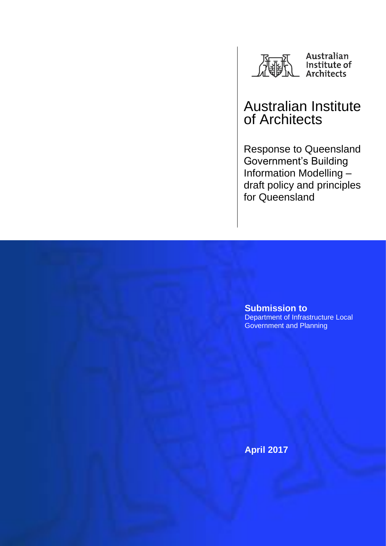

# Australian Institute of Architects

Response to Queensland Government's Building Information Modelling – draft policy and principles for Queensland

**Submission to**  Department of Infrastructure Local Government and Planning

**April 2017**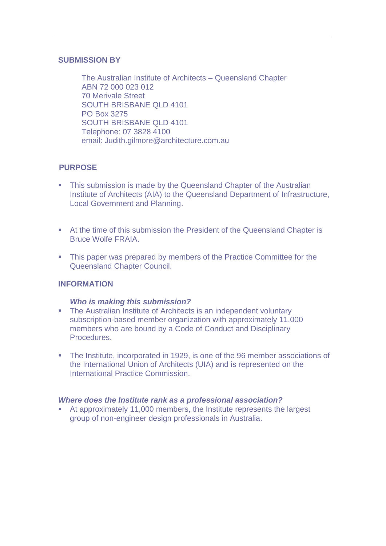### **SUBMISSION BY**

The Australian Institute of Architects – Queensland Chapter ABN 72 000 023 012 70 Merivale Street SOUTH BRISBANE QLD 4101 PO Box 3275 SOUTH BRISBANE QLD 4101 Telephone: 07 3828 4100 email: Judith.gilmore@architecture.com.au

# **PURPOSE**

- This submission is made by the Queensland Chapter of the Australian Institute of Architects (AIA) to the Queensland Department of Infrastructure, Local Government and Planning.
- At the time of this submission the President of the Queensland Chapter is Bruce Wolfe FRAIA.
- This paper was prepared by members of the Practice Committee for the Queensland Chapter Council.

## **INFORMATION**

#### *Who is making this submission?*

- The Australian Institute of Architects is an independent voluntary subscription-based member organization with approximately 11,000 members who are bound by a Code of Conduct and Disciplinary Procedures.
- The Institute, incorporated in 1929, is one of the 96 member associations of the International Union of Architects (UIA) and is represented on the International Practice Commission.

#### *Where does the Institute rank as a professional association?*

 At approximately 11,000 members, the Institute represents the largest group of non-engineer design professionals in Australia.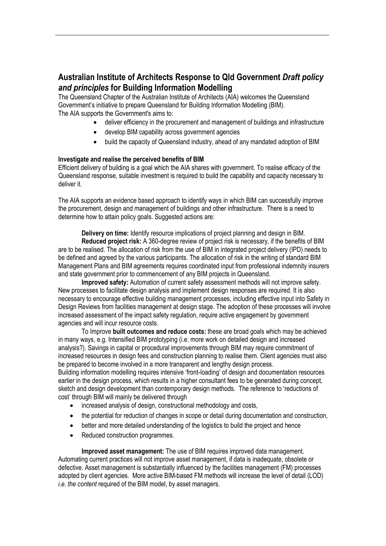# **Australian Institute of Architects Response to Qld Government** *Draft policy and principles* **for Building Information Modelling**

The Queensland Chapter of the Australian Institute of Architects (AIA) welcomes the Queensland Government's initiative to prepare Queensland for Building Information Modelling (BIM). The AIA supports the Government's aims to:

- deliver efficiency in the procurement and management of buildings and infrastructure
- develop BIM capability across government agencies
- build the capacity of Queensland industry, ahead of any mandated adoption of BIM

#### **Investigate and realise the perceived benefits of BIM**

Efficient delivery of building is a goal which the AIA shares with government. To realise *efficacy* of the Queensland response, suitable investment is required to build the capability and capacity necessary to deliver it.

The AIA supports an evidence based approach to identify ways in which BIM can successfully improve the procurement, design and management of buildings and other infrastructure. There is a need to determine how to attain policy goals. Suggested actions are:

**Delivery on time:** Identify resource implications of project planning and design in BIM.

**Reduced project risk:** A 360-degree review of project risk is necessary, if the benefits of BIM are to be realised. The allocation of risk from the use of BIM in integrated project delivery (IPD) needs to be defined and agreed by the various participants. The allocation of risk in the writing of standard BIM Management Plans and BIM agreements requires coordinated input from professional indemnity insurers and state government prior to commencement of any BIM projects in Queensland.

**Improved safety:** Automation of current safety assessment methods will not improve safety. New processes to facilitate design analysis and implement design responses are required. It is also necessary to encourage effective building management processes, including effective input into Safety in Design Reviews from facilities management at design stage. The adoption of these processes will involve increased assessment of the impact safety regulation, require active engagement by government agencies and will incur resource costs.

To Improve **built outcomes and reduce costs:** these are broad goals which may be achieved in many ways, e.g. Intensified BIM prototyping (i.e. more work on detailed design and increased analysis?). Savings in capital or procedural improvements through BIM may require commitment of increased resources in design fees and construction planning to realise them. Client agencies must also be prepared to become involved in a more transparent and lengthy design process.

Building information modelling requires intensive 'front-loading' of design and documentation resources earlier in the design process, which results in a higher consultant fees to be generated during concept, sketch and design development than contemporary design methods. The reference to 'reductions of cost' through BIM will mainly be delivered through

- increased analysis of design, constructional methodology and costs,
- the potential for reduction of changes in scope or detail during documentation and construction,
- better and more detailed understanding of the logistics to build the project and hence
- Reduced construction programmes.

**Improved asset management:** The use of BIM requires improved data management. Automating current practices will not improve asset management, if data is inadequate, obsolete or defective. Asset management is substantially influenced by the facilities management (FM) processes adopted by client agencies. More active BIM-based FM methods will increase the level of detail (LOD) *i.e. the content* required of the BIM model, by asset managers.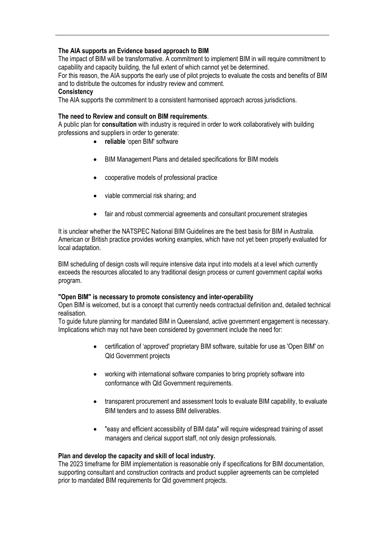#### **The AIA supports an Evidence based approach to BIM**

The impact of BIM will be transformative. A commitment to implement BIM in will require commitment to capability and capacity building, the full extent of which cannot yet be determined.

For this reason, the AIA supports the early use of pilot projects to evaluate the costs and benefits of BIM and to distribute the outcomes for industry review and comment.

#### **Consistency**

The AIA supports the commitment to a consistent harmonised approach across jurisdictions.

#### **The need to Review and consult on BIM requirements**.

A public plan for **consultation** with industry is required in order to work collaboratively with building professions and suppliers in order to generate:

- **reliable** 'open BIM' software
- BIM Management Plans and detailed specifications for BIM models
- cooperative models of professional practice
- viable commercial risk sharing; and
- fair and robust commercial agreements and consultant procurement strategies

It is unclear whether the NATSPEC National BIM Guidelines are the best basis for BIM in Australia. American or British practice provides working examples, which have not yet been properly evaluated for local adaptation.

BIM scheduling of design costs will require intensive data input into models at a level which currently exceeds the resources allocated to any traditional design process or current government capital works program.

#### **"Open BIM" is necessary to promote consistency and inter-operability**

Open BIM is welcomed, but is a concept that currently needs contractual definition and, detailed technical realisation.

To guide future planning for mandated BIM in Queensland, active government engagement is necessary. Implications which may not have been considered by government include the need for:

- certification of 'approved' proprietary BIM software, suitable for use as 'Open BIM' on Qld Government projects
- working with international software companies to bring propriety software into conformance with Qld Government requirements.
- transparent procurement and assessment tools to evaluate BIM capability, to evaluate BIM tenders and to assess BIM deliverables.
- "easy and efficient accessibility of BIM data" will require widespread training of asset managers and clerical support staff, not only design professionals.

#### **Plan and develop the capacity and skill of local industry.**

The 2023 timeframe for BIM implementation is reasonable only if specifications for BIM documentation, supporting consultant and construction contracts and product supplier agreements can be completed prior to mandated BIM requirements for Qld government projects.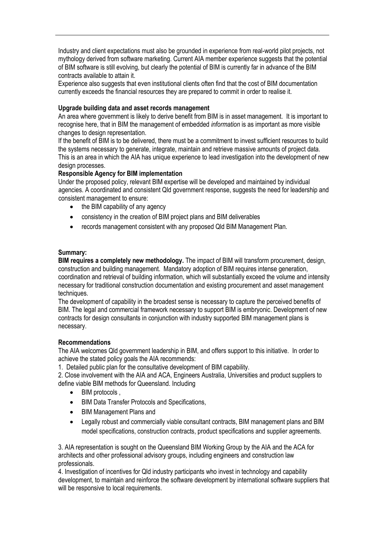Industry and client expectations must also be grounded in experience from real-world pilot projects, not mythology derived from software marketing. Current AIA member experience suggests that the potential of BIM software is still evolving, but clearly the potential of BIM is currently far in advance of the BIM contracts available to attain it.

Experience also suggests that even institutional clients often find that the cost of BIM documentation currently exceeds the financial resources they are prepared to commit in order to realise it.

#### **Upgrade building data and asset records management**

An area where government is likely to derive benefit from BIM is in asset management. It is important to recognise here, that in BIM the management of embedded *information* is as important as more visible changes to design representation.

If the benefit of BIM is to be delivered, there must be a commitment to invest sufficient resources to build the systems necessary to generate, integrate, maintain and retrieve massive amounts of project data. This is an area in which the AIA has unique experience to lead investigation into the development of new design processes.

#### **Responsible Agency for BIM implementation**

Under the proposed policy, relevant BIM expertise will be developed and maintained by individual agencies. A coordinated and consistent Qld government response, suggests the need for leadership and consistent management to ensure:

- the BIM capability of any agency
- consistency in the creation of BIM project plans and BIM deliverables
- records management consistent with any proposed Qld BIM Management Plan.

#### **Summary:**

**BIM requires a completely new methodology.** The impact of BIM will transform procurement, design, construction and building management. Mandatory adoption of BIM requires intense generation, coordination and retrieval of building information, which will substantially exceed the volume and intensity necessary for traditional construction documentation and existing procurement and asset management techniques.

The development of capability in the broadest sense is necessary to capture the perceived benefits of BIM. The legal and commercial framework necessary to support BIM is embryonic. Development of new contracts for design consultants in conjunction with industry supported BIM management plans is necessary.

#### **Recommendations**

The AIA welcomes Qld government leadership in BIM, and offers support to this initiative. In order to achieve the stated policy goals the AIA recommends:

1. Detailed public plan for the consultative development of BIM capability.

2. Close involvement with the AIA and ACA, Engineers Australia, Universities and product suppliers to define viable BIM methods for Queensland. Including

- BIM protocols,
- BIM Data Transfer Protocols and Specifications,
- BIM Management Plans and
- Legally robust and commercially viable consultant contracts, BIM management plans and BIM model specifications, construction contracts, product specifications and supplier agreements.

3. AIA representation is sought on the Queensland BIM Working Group by the AIA and the ACA for architects and other professional advisory groups, including engineers and construction law professionals.

4. Investigation of incentives for Qld industry participants who invest in technology and capability development, to maintain and reinforce the software development by international software suppliers that will be responsive to local requirements.